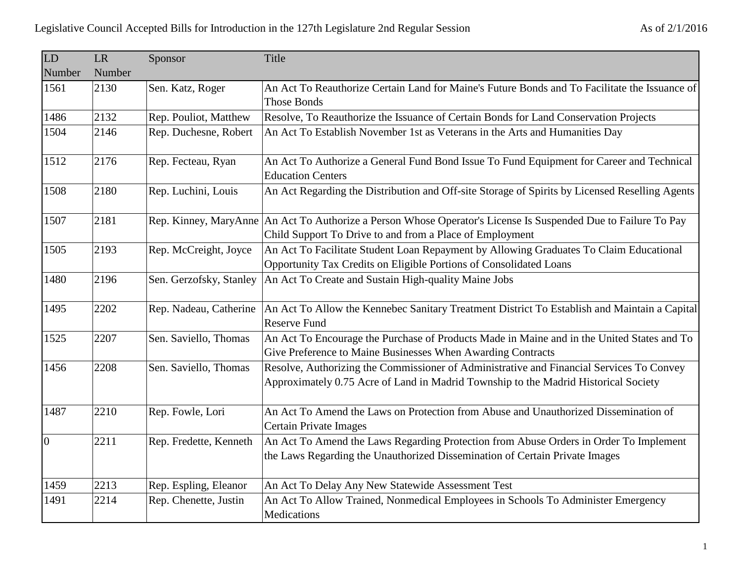| LD             | LR     | Sponsor                 | Title                                                                                                                                                                           |
|----------------|--------|-------------------------|---------------------------------------------------------------------------------------------------------------------------------------------------------------------------------|
| Number         | Number |                         |                                                                                                                                                                                 |
| 1561           | 2130   | Sen. Katz, Roger        | An Act To Reauthorize Certain Land for Maine's Future Bonds and To Facilitate the Issuance of                                                                                   |
|                |        |                         | <b>Those Bonds</b>                                                                                                                                                              |
| 1486           | 2132   | Rep. Pouliot, Matthew   | Resolve, To Reauthorize the Issuance of Certain Bonds for Land Conservation Projects                                                                                            |
| 1504           | 2146   | Rep. Duchesne, Robert   | An Act To Establish November 1st as Veterans in the Arts and Humanities Day                                                                                                     |
| 1512           | 2176   | Rep. Fecteau, Ryan      | An Act To Authorize a General Fund Bond Issue To Fund Equipment for Career and Technical<br><b>Education Centers</b>                                                            |
| 1508           | 2180   | Rep. Luchini, Louis     | An Act Regarding the Distribution and Off-site Storage of Spirits by Licensed Reselling Agents                                                                                  |
| 1507           | 2181   |                         | Rep. Kinney, MaryAnne An Act To Authorize a Person Whose Operator's License Is Suspended Due to Failure To Pay<br>Child Support To Drive to and from a Place of Employment      |
| 1505           | 2193   | Rep. McCreight, Joyce   | An Act To Facilitate Student Loan Repayment by Allowing Graduates To Claim Educational<br>Opportunity Tax Credits on Eligible Portions of Consolidated Loans                    |
| 1480           | 2196   | Sen. Gerzofsky, Stanley | An Act To Create and Sustain High-quality Maine Jobs                                                                                                                            |
| 1495           | 2202   | Rep. Nadeau, Catherine  | An Act To Allow the Kennebec Sanitary Treatment District To Establish and Maintain a Capital<br><b>Reserve Fund</b>                                                             |
| 1525           | 2207   | Sen. Saviello, Thomas   | An Act To Encourage the Purchase of Products Made in Maine and in the United States and To<br>Give Preference to Maine Businesses When Awarding Contracts                       |
| 1456           | 2208   | Sen. Saviello, Thomas   | Resolve, Authorizing the Commissioner of Administrative and Financial Services To Convey<br>Approximately 0.75 Acre of Land in Madrid Township to the Madrid Historical Society |
| 1487           | 2210   | Rep. Fowle, Lori        | An Act To Amend the Laws on Protection from Abuse and Unauthorized Dissemination of<br><b>Certain Private Images</b>                                                            |
| $\overline{0}$ | 2211   | Rep. Fredette, Kenneth  | An Act To Amend the Laws Regarding Protection from Abuse Orders in Order To Implement<br>the Laws Regarding the Unauthorized Dissemination of Certain Private Images            |
| 1459           | 2213   | Rep. Espling, Eleanor   | An Act To Delay Any New Statewide Assessment Test                                                                                                                               |
| 1491           | 2214   | Rep. Chenette, Justin   | An Act To Allow Trained, Nonmedical Employees in Schools To Administer Emergency<br>Medications                                                                                 |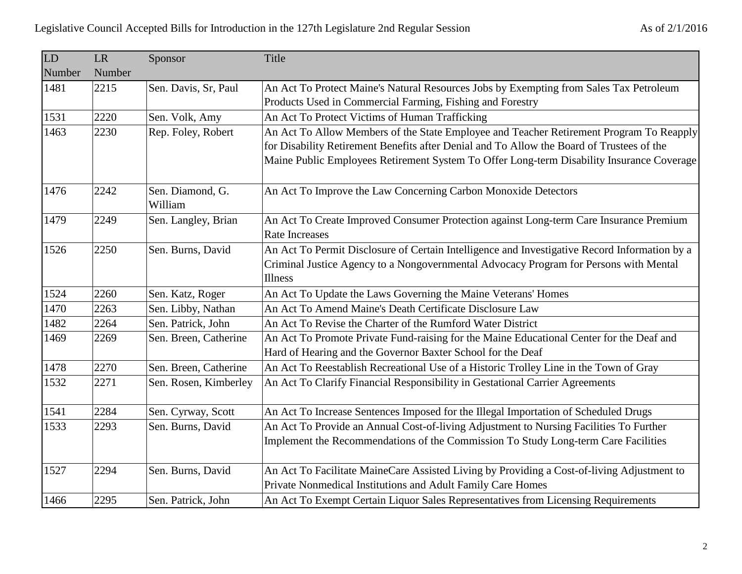| LD     | <b>LR</b> | Sponsor               | Title                                                                                                           |
|--------|-----------|-----------------------|-----------------------------------------------------------------------------------------------------------------|
| Number | Number    |                       |                                                                                                                 |
| 1481   | 2215      | Sen. Davis, Sr, Paul  | An Act To Protect Maine's Natural Resources Jobs by Exempting from Sales Tax Petroleum                          |
|        |           |                       | Products Used in Commercial Farming, Fishing and Forestry                                                       |
| 1531   | 2220      | Sen. Volk, Amy        | An Act To Protect Victims of Human Trafficking                                                                  |
| 1463   | 2230      | Rep. Foley, Robert    | An Act To Allow Members of the State Employee and Teacher Retirement Program To Reapply                         |
|        |           |                       | for Disability Retirement Benefits after Denial and To Allow the Board of Trustees of the                       |
|        |           |                       | Maine Public Employees Retirement System To Offer Long-term Disability Insurance Coverage                       |
| 1476   | 2242      | Sen. Diamond, G.      | An Act To Improve the Law Concerning Carbon Monoxide Detectors                                                  |
|        |           | William               |                                                                                                                 |
| 1479   | 2249      | Sen. Langley, Brian   | An Act To Create Improved Consumer Protection against Long-term Care Insurance Premium<br><b>Rate Increases</b> |
| 1526   | 2250      | Sen. Burns, David     | An Act To Permit Disclosure of Certain Intelligence and Investigative Record Information by a                   |
|        |           |                       | Criminal Justice Agency to a Nongovernmental Advocacy Program for Persons with Mental                           |
|        |           |                       | <b>Illness</b>                                                                                                  |
| 1524   | 2260      | Sen. Katz, Roger      | An Act To Update the Laws Governing the Maine Veterans' Homes                                                   |
| 1470   | 2263      | Sen. Libby, Nathan    | An Act To Amend Maine's Death Certificate Disclosure Law                                                        |
| 1482   | 2264      | Sen. Patrick, John    | An Act To Revise the Charter of the Rumford Water District                                                      |
| 1469   | 2269      | Sen. Breen, Catherine | An Act To Promote Private Fund-raising for the Maine Educational Center for the Deaf and                        |
|        |           |                       | Hard of Hearing and the Governor Baxter School for the Deaf                                                     |
| 1478   | 2270      | Sen. Breen, Catherine | An Act To Reestablish Recreational Use of a Historic Trolley Line in the Town of Gray                           |
| 1532   | 2271      | Sen. Rosen, Kimberley | An Act To Clarify Financial Responsibility in Gestational Carrier Agreements                                    |
| 1541   | 2284      | Sen. Cyrway, Scott    | An Act To Increase Sentences Imposed for the Illegal Importation of Scheduled Drugs                             |
| 1533   | 2293      | Sen. Burns, David     | An Act To Provide an Annual Cost-of-living Adjustment to Nursing Facilities To Further                          |
|        |           |                       | Implement the Recommendations of the Commission To Study Long-term Care Facilities                              |
| 1527   | 2294      | Sen. Burns, David     | An Act To Facilitate MaineCare Assisted Living by Providing a Cost-of-living Adjustment to                      |
|        |           |                       | Private Nonmedical Institutions and Adult Family Care Homes                                                     |
| 1466   | 2295      | Sen. Patrick, John    | An Act To Exempt Certain Liquor Sales Representatives from Licensing Requirements                               |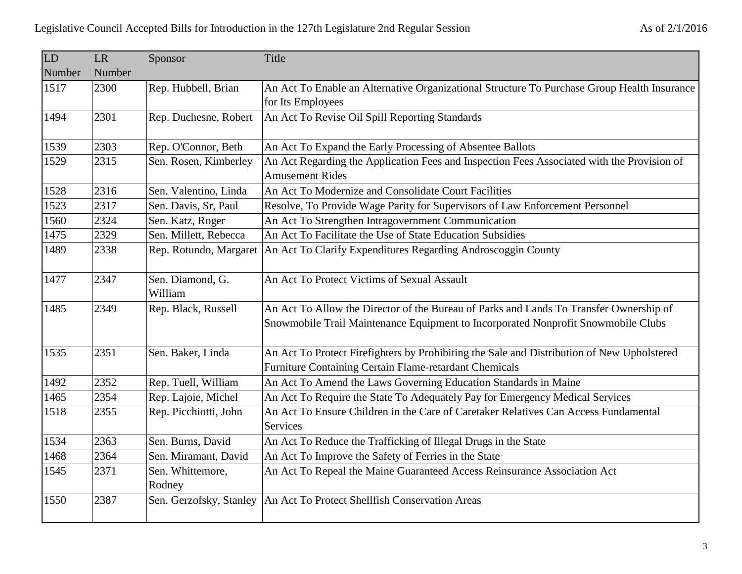| LD     | <b>LR</b> | Sponsor                 | Title                                                                                       |
|--------|-----------|-------------------------|---------------------------------------------------------------------------------------------|
| Number | Number    |                         |                                                                                             |
| 1517   | 2300      | Rep. Hubbell, Brian     | An Act To Enable an Alternative Organizational Structure To Purchase Group Health Insurance |
|        |           |                         | for Its Employees                                                                           |
| 1494   | 2301      | Rep. Duchesne, Robert   | An Act To Revise Oil Spill Reporting Standards                                              |
|        |           |                         |                                                                                             |
| 1539   | 2303      | Rep. O'Connor, Beth     | An Act To Expand the Early Processing of Absentee Ballots                                   |
| 1529   | 2315      | Sen. Rosen, Kimberley   | An Act Regarding the Application Fees and Inspection Fees Associated with the Provision of  |
|        |           |                         | <b>Amusement Rides</b>                                                                      |
| 1528   | 2316      | Sen. Valentino, Linda   | An Act To Modernize and Consolidate Court Facilities                                        |
| 1523   | 2317      | Sen. Davis, Sr, Paul    | Resolve, To Provide Wage Parity for Supervisors of Law Enforcement Personnel                |
| 1560   | 2324      | Sen. Katz, Roger        | An Act To Strengthen Intragovernment Communication                                          |
| 1475   | 2329      | Sen. Millett, Rebecca   | An Act To Facilitate the Use of State Education Subsidies                                   |
| 1489   | 2338      | Rep. Rotundo, Margaret  | An Act To Clarify Expenditures Regarding Androscoggin County                                |
|        |           |                         |                                                                                             |
| 1477   | 2347      | Sen. Diamond, G.        | An Act To Protect Victims of Sexual Assault                                                 |
|        |           | William                 |                                                                                             |
| 1485   | 2349      | Rep. Black, Russell     | An Act To Allow the Director of the Bureau of Parks and Lands To Transfer Ownership of      |
|        |           |                         | Snowmobile Trail Maintenance Equipment to Incorporated Nonprofit Snowmobile Clubs           |
|        |           |                         |                                                                                             |
| 1535   | 2351      | Sen. Baker, Linda       | An Act To Protect Firefighters by Prohibiting the Sale and Distribution of New Upholstered  |
|        |           |                         | Furniture Containing Certain Flame-retardant Chemicals                                      |
| 1492   | 2352      | Rep. Tuell, William     | An Act To Amend the Laws Governing Education Standards in Maine                             |
| 1465   | 2354      | Rep. Lajoie, Michel     | An Act To Require the State To Adequately Pay for Emergency Medical Services                |
| 1518   | 2355      | Rep. Picchiotti, John   | An Act To Ensure Children in the Care of Caretaker Relatives Can Access Fundamental         |
|        |           |                         | Services                                                                                    |
| 1534   | 2363      | Sen. Burns, David       | An Act To Reduce the Trafficking of Illegal Drugs in the State                              |
| 1468   | 2364      | Sen. Miramant, David    | An Act To Improve the Safety of Ferries in the State                                        |
| 1545   | 2371      | Sen. Whittemore,        | An Act To Repeal the Maine Guaranteed Access Reinsurance Association Act                    |
|        |           | Rodney                  |                                                                                             |
| 1550   | 2387      | Sen. Gerzofsky, Stanley | An Act To Protect Shellfish Conservation Areas                                              |
|        |           |                         |                                                                                             |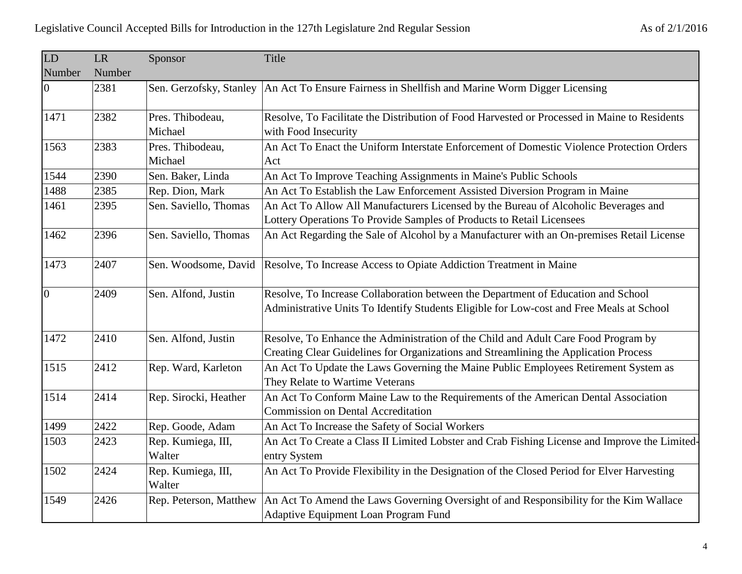| LD             | <b>LR</b> | Sponsor                      | Title                                                                                                                                                                         |
|----------------|-----------|------------------------------|-------------------------------------------------------------------------------------------------------------------------------------------------------------------------------|
| Number         | Number    |                              |                                                                                                                                                                               |
| $\overline{0}$ | 2381      | Sen. Gerzofsky, Stanley      | An Act To Ensure Fairness in Shellfish and Marine Worm Digger Licensing                                                                                                       |
| 1471           | 2382      | Pres. Thibodeau,             | Resolve, To Facilitate the Distribution of Food Harvested or Processed in Maine to Residents                                                                                  |
|                |           | Michael                      | with Food Insecurity                                                                                                                                                          |
| 1563           | 2383      | Pres. Thibodeau,             | An Act To Enact the Uniform Interstate Enforcement of Domestic Violence Protection Orders                                                                                     |
|                |           | Michael                      | Act                                                                                                                                                                           |
| 1544           | 2390      | Sen. Baker, Linda            | An Act To Improve Teaching Assignments in Maine's Public Schools                                                                                                              |
| 1488           | 2385      | Rep. Dion, Mark              | An Act To Establish the Law Enforcement Assisted Diversion Program in Maine                                                                                                   |
| 1461           | 2395      | Sen. Saviello, Thomas        | An Act To Allow All Manufacturers Licensed by the Bureau of Alcoholic Beverages and                                                                                           |
|                |           |                              | Lottery Operations To Provide Samples of Products to Retail Licensees                                                                                                         |
| 1462           | 2396      | Sen. Saviello, Thomas        | An Act Regarding the Sale of Alcohol by a Manufacturer with an On-premises Retail License                                                                                     |
| 1473           | 2407      | Sen. Woodsome, David         | Resolve, To Increase Access to Opiate Addiction Treatment in Maine                                                                                                            |
| $\overline{0}$ | 2409      | Sen. Alfond, Justin          | Resolve, To Increase Collaboration between the Department of Education and School<br>Administrative Units To Identify Students Eligible for Low-cost and Free Meals at School |
| 1472           | 2410      | Sen. Alfond, Justin          | Resolve, To Enhance the Administration of the Child and Adult Care Food Program by<br>Creating Clear Guidelines for Organizations and Streamlining the Application Process    |
| 1515           | 2412      | Rep. Ward, Karleton          | An Act To Update the Laws Governing the Maine Public Employees Retirement System as<br>They Relate to Wartime Veterans                                                        |
| 1514           | 2414      | Rep. Sirocki, Heather        | An Act To Conform Maine Law to the Requirements of the American Dental Association<br><b>Commission on Dental Accreditation</b>                                               |
| 1499           | 2422      | Rep. Goode, Adam             | An Act To Increase the Safety of Social Workers                                                                                                                               |
| 1503           | 2423      | Rep. Kumiega, III,           | An Act To Create a Class II Limited Lobster and Crab Fishing License and Improve the Limited-                                                                                 |
|                |           | Walter                       | entry System                                                                                                                                                                  |
| 1502           | 2424      | Rep. Kumiega, III,<br>Walter | An Act To Provide Flexibility in the Designation of the Closed Period for Elver Harvesting                                                                                    |
| 1549           | 2426      | Rep. Peterson, Matthew       | An Act To Amend the Laws Governing Oversight of and Responsibility for the Kim Wallace                                                                                        |
|                |           |                              | Adaptive Equipment Loan Program Fund                                                                                                                                          |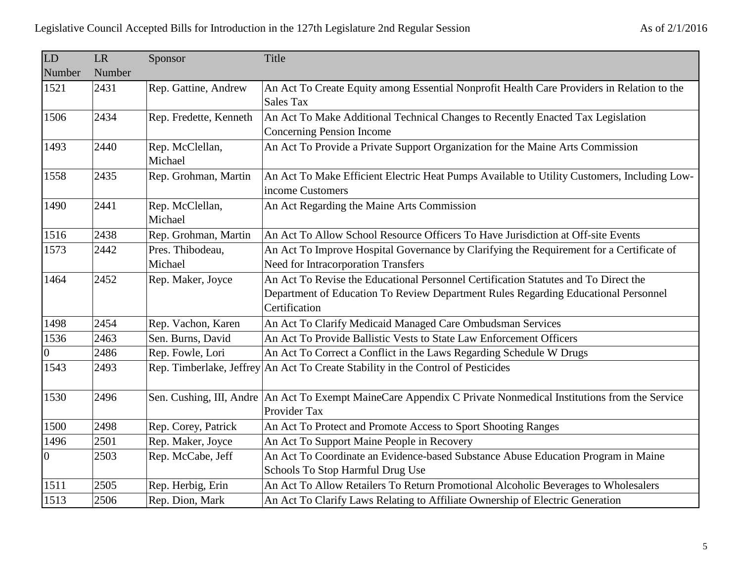| LD             | LR     | Sponsor                     | Title                                                                                                                                                                                      |
|----------------|--------|-----------------------------|--------------------------------------------------------------------------------------------------------------------------------------------------------------------------------------------|
| Number         | Number |                             |                                                                                                                                                                                            |
| 1521           | 2431   | Rep. Gattine, Andrew        | An Act To Create Equity among Essential Nonprofit Health Care Providers in Relation to the<br><b>Sales Tax</b>                                                                             |
| 1506           | 2434   | Rep. Fredette, Kenneth      | An Act To Make Additional Technical Changes to Recently Enacted Tax Legislation<br>Concerning Pension Income                                                                               |
| 1493           | 2440   | Rep. McClellan,<br>Michael  | An Act To Provide a Private Support Organization for the Maine Arts Commission                                                                                                             |
| 1558           | 2435   | Rep. Grohman, Martin        | An Act To Make Efficient Electric Heat Pumps Available to Utility Customers, Including Low-<br>income Customers                                                                            |
| 1490           | 2441   | Rep. McClellan,<br>Michael  | An Act Regarding the Maine Arts Commission                                                                                                                                                 |
| 1516           | 2438   | Rep. Grohman, Martin        | An Act To Allow School Resource Officers To Have Jurisdiction at Off-site Events                                                                                                           |
| 1573           | 2442   | Pres. Thibodeau,<br>Michael | An Act To Improve Hospital Governance by Clarifying the Requirement for a Certificate of<br><b>Need for Intracorporation Transfers</b>                                                     |
| 1464           | 2452   | Rep. Maker, Joyce           | An Act To Revise the Educational Personnel Certification Statutes and To Direct the<br>Department of Education To Review Department Rules Regarding Educational Personnel<br>Certification |
| 1498           | 2454   | Rep. Vachon, Karen          | An Act To Clarify Medicaid Managed Care Ombudsman Services                                                                                                                                 |
| 1536           | 2463   | Sen. Burns, David           | An Act To Provide Ballistic Vests to State Law Enforcement Officers                                                                                                                        |
| 0              | 2486   | Rep. Fowle, Lori            | An Act To Correct a Conflict in the Laws Regarding Schedule W Drugs                                                                                                                        |
| 1543           | 2493   |                             | Rep. Timberlake, Jeffrey An Act To Create Stability in the Control of Pesticides                                                                                                           |
| 1530           | 2496   |                             | Sen. Cushing, III, Andre An Act To Exempt MaineCare Appendix C Private Nonmedical Institutions from the Service<br>Provider Tax                                                            |
| 1500           | 2498   | Rep. Corey, Patrick         | An Act To Protect and Promote Access to Sport Shooting Ranges                                                                                                                              |
| 1496           | 2501   | Rep. Maker, Joyce           | An Act To Support Maine People in Recovery                                                                                                                                                 |
| $\overline{0}$ | 2503   | Rep. McCabe, Jeff           | An Act To Coordinate an Evidence-based Substance Abuse Education Program in Maine                                                                                                          |
|                |        |                             | Schools To Stop Harmful Drug Use                                                                                                                                                           |
| 1511           | 2505   | Rep. Herbig, Erin           | An Act To Allow Retailers To Return Promotional Alcoholic Beverages to Wholesalers                                                                                                         |
| 1513           | 2506   | Rep. Dion, Mark             | An Act To Clarify Laws Relating to Affiliate Ownership of Electric Generation                                                                                                              |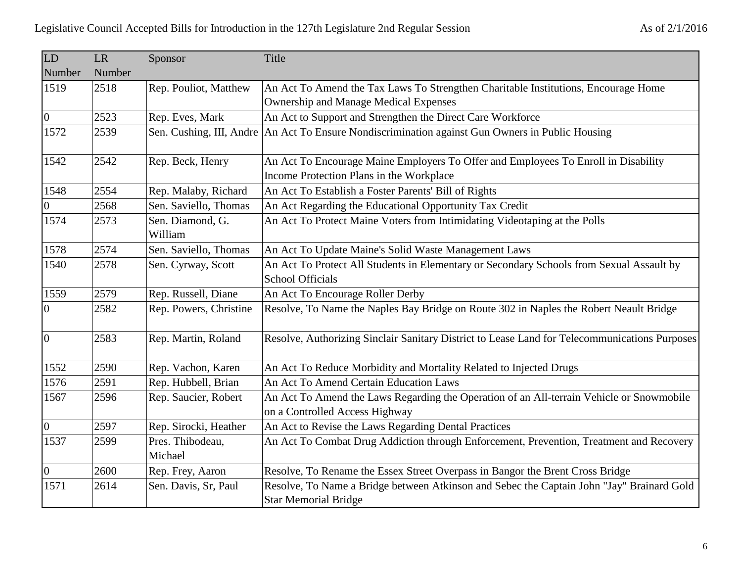| LD               | <b>LR</b> | Sponsor                     | Title                                                                                                                      |
|------------------|-----------|-----------------------------|----------------------------------------------------------------------------------------------------------------------------|
| Number           | Number    |                             |                                                                                                                            |
| 1519             | 2518      | Rep. Pouliot, Matthew       | An Act To Amend the Tax Laws To Strengthen Charitable Institutions, Encourage Home                                         |
|                  |           |                             | <b>Ownership and Manage Medical Expenses</b>                                                                               |
| $ 0\rangle$      | 2523      | Rep. Eves, Mark             | An Act to Support and Strengthen the Direct Care Workforce                                                                 |
| 1572             | 2539      | Sen. Cushing, III, Andre    | An Act To Ensure Nondiscrimination against Gun Owners in Public Housing                                                    |
| 1542             | 2542      | Rep. Beck, Henry            | An Act To Encourage Maine Employers To Offer and Employees To Enroll in Disability                                         |
|                  |           |                             | Income Protection Plans in the Workplace                                                                                   |
| 1548             | 2554      | Rep. Malaby, Richard        | An Act To Establish a Foster Parents' Bill of Rights                                                                       |
| $\boldsymbol{0}$ | 2568      | Sen. Saviello, Thomas       | An Act Regarding the Educational Opportunity Tax Credit                                                                    |
| 1574             | 2573      | Sen. Diamond, G.<br>William | An Act To Protect Maine Voters from Intimidating Videotaping at the Polls                                                  |
| 1578             | 2574      | Sen. Saviello, Thomas       | An Act To Update Maine's Solid Waste Management Laws                                                                       |
| 1540             | 2578      | Sen. Cyrway, Scott          | An Act To Protect All Students in Elementary or Secondary Schools from Sexual Assault by<br><b>School Officials</b>        |
| 1559             | 2579      | Rep. Russell, Diane         | An Act To Encourage Roller Derby                                                                                           |
| 0                | 2582      | Rep. Powers, Christine      | Resolve, To Name the Naples Bay Bridge on Route 302 in Naples the Robert Neault Bridge                                     |
|                  |           |                             |                                                                                                                            |
| 0                | 2583      | Rep. Martin, Roland         | Resolve, Authorizing Sinclair Sanitary District to Lease Land for Telecommunications Purposes                              |
| 1552             | 2590      | Rep. Vachon, Karen          | An Act To Reduce Morbidity and Mortality Related to Injected Drugs                                                         |
| 1576             | 2591      | Rep. Hubbell, Brian         | An Act To Amend Certain Education Laws                                                                                     |
| 1567             | 2596      | Rep. Saucier, Robert        | An Act To Amend the Laws Regarding the Operation of an All-terrain Vehicle or Snowmobile<br>on a Controlled Access Highway |
| $\overline{0}$   | 2597      | Rep. Sirocki, Heather       | An Act to Revise the Laws Regarding Dental Practices                                                                       |
| 1537             | 2599      | Pres. Thibodeau,<br>Michael | An Act To Combat Drug Addiction through Enforcement, Prevention, Treatment and Recovery                                    |
| $\vert$ 0        | 2600      | Rep. Frey, Aaron            | Resolve, To Rename the Essex Street Overpass in Bangor the Brent Cross Bridge                                              |
| 1571             | 2614      | Sen. Davis, Sr, Paul        | Resolve, To Name a Bridge between Atkinson and Sebec the Captain John "Jay" Brainard Gold<br><b>Star Memorial Bridge</b>   |